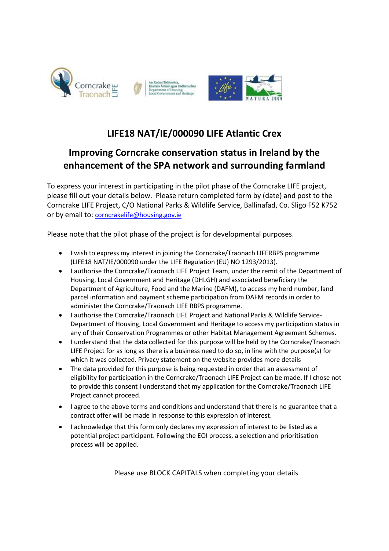

## **LIFE18 NAT/IE/000090 LIFE Atlantic Crex**

## **Improving Corncrake conservation status in Ireland by the enhancement of the SPA network and surrounding farmland**

To express your interest in participating in the pilot phase of the Corncrake LIFE project, please fill out your details below. Please return completed form by (date) and post to the Corncrake LIFE Project, C/O National Parks & Wildlife Service, Ballinafad, Co. Sligo F52 K752 or by email to: [corncrakelife@housing.gov.ie](mailto:corncrakelife@housing.gov.ie)

Please note that the pilot phase of the project is for developmental purposes.

- I wish to express my interest in joining the Corncrake/Traonach LIFERBPS programme (LIFE18 NAT/IE/000090 under the LIFE Regulation (EU) NO 1293/2013).
- I authorise the Corncrake/Traonach LIFE Project Team, under the remit of the Department of Housing, Local Government and Heritage (DHLGH) and associated beneficiary the Department of Agriculture, Food and the Marine (DAFM), to access my herd number, land parcel information and payment scheme participation from DAFM records in order to administer the Corncrake/Traonach LIFE RBPS programme.
- I authorise the Corncrake/Traonach LIFE Project and National Parks & Wildlife Service-Department of Housing, Local Government and Heritage to access my participation status in any of their Conservation Programmes or other Habitat Management Agreement Schemes.
- I understand that the data collected for this purpose will be held by the Corncrake/Traonach LIFE Project for as long as there is a business need to do so, in line with the purpose(s) for which it was collected. Privacy statement on the website provides more details
- The data provided for this purpose is being requested in order that an assessment of eligibility for participation in the Corncrake/Traonach LIFE Project can be made. If I chose not to provide this consent I understand that my application for the Corncrake/Traonach LIFE Project cannot proceed.
- I agree to the above terms and conditions and understand that there is no guarantee that a contract offer will be made in response to this expression of interest.
- I acknowledge that this form only declares my expression of interest to be listed as a potential project participant. Following the EOI process, a selection and prioritisation process will be applied.

Please use BLOCK CAPITALS when completing your details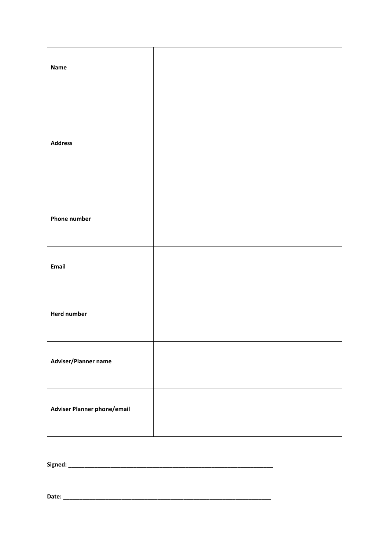| <b>Name</b>                 |  |
|-----------------------------|--|
| <b>Address</b>              |  |
| <b>Phone number</b>         |  |
| Email                       |  |
| <b>Herd number</b>          |  |
| Adviser/Planner name        |  |
| Adviser Planner phone/email |  |

**Signed:** \_\_\_\_\_\_\_\_\_\_\_\_\_\_\_\_\_\_\_\_\_\_\_\_\_\_\_\_\_\_\_\_\_\_\_\_\_\_\_\_\_\_\_\_\_\_\_\_\_\_\_\_\_\_\_\_\_\_\_\_\_\_\_

**Date:** \_\_\_\_\_\_\_\_\_\_\_\_\_\_\_\_\_\_\_\_\_\_\_\_\_\_\_\_\_\_\_\_\_\_\_\_\_\_\_\_\_\_\_\_\_\_\_\_\_\_\_\_\_\_\_\_\_\_\_\_\_\_\_\_